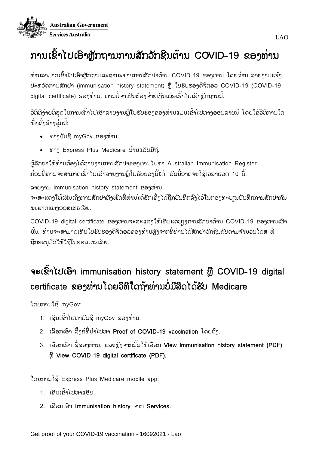

# ການເຂົາໄປເອົາຫຼັກຖານການສັກວັກຊີນຕ້ານ COVID-19 ຂອງທ່ານ

ທ່ານສາມາດເຂົ້າໄປເອົາຫຼັກຖານສະຖານະພາບການສັກຢາຕ້ານ COVID-19 ຂອງທ່ານ ໂດຍຜ່ານ ລາຍງານແຈ້ງ ປະຫວັດການສັກຢາ (immunisation history statement) ຫຼື ໃບຮັບຮອງດີຈີຕອລ COVID-19 (COVID-19 digital certificate) ຂອງທ່ານ. ທ່ານບໍ່ຈຳເປັນຕ້ອງຈ່າຍເງິນເພື່ອເຂົ້າໄປເອົາຫຼັກຖານນີ້.

ວິທີທີ່ງ່າຍທີ່ສຸດໃນການເຂົ້າໄປເອົາລາຍງານຫຼືໃບຮັບຮອງຂອງທ່ານແມ່ນເຂົ້າໄປທາງອອນລາຍນ໌ ໂດຍໃຊ້ວິທີການໃດ ໜຶ່ງດັ່ງຂ້າງລຸ່ມນີ້:

- ທາງບນຼັຊີmyGov ຂອງທາ່ ນ
- ທາງ Express Plus Medicare ຜ່ານແອັບມືຖື.

ຜູ້ສັກຢາໃຫ້ທ່ານຕ້ອງໄດ້ລາຍງານການສັກຢາຂອງທ່ານໄປຫາ Australian Immunisation Register ກ່ອນທີ່ທ່ານຈະສາມາດເຂົ້າໄປເອົາລາຍງານຫືໃບຮັບຮອງນີ້ໄດ້. ອັນນີ້ອາດຈະໃຊ້ເວລາຮອດ 10 ມື້.

ລາຍງານ immunisation history statement ຂອງທາ່ ນ ຈະສະແດງໃຫ້ເຫັນເຖິງການສັກຢາທັງໝົດທີ່ທ່ານໄດ້ສັກເຊິ່ງໄດ້ຖືກບັນທຶກລົງໄວ້ໃນກອງທະບ⊺ນບັນທຶກການສັກຢາກັນ ພະຍາດແຫ່ງອອສເຕຣເລັຍ.

COVID-19 digital certificate ຂອງທ່ານຈະສະແດງໃຫ້ເຫັນແຕ່ພຽງການສັກຢາຕ້ານ COVID-19 ຂອງທ່ານເທົ່າ ນັ້ນ. ທ່ານຈະສາມາດເຫັນໃບຮັບຮອາດີຈີຕອລຂອາທ່ານຫ້າຈາກທີ່ທ່ານໄດ້ສັກຢາວັກຂີນຄົບຕາມຈຳນວນໂດສ ທີ່ ຖືກອະນຸມັດໃຫ້ໃຊ້ໃນອອສເຕຣເລັຍ.

# ຈະເຂົ້າໄປເອົາ immunisation history statement ຫຼື COVID-19 digital certificate ຂອງທ່ານໂດຍວິທີໃດຖ້າທ່ານບໍມີສິດໄດ້ຮັບ Medicare

ໂດຍການໃຊົ້myGov:

- 1. ເຊັນເຂົ້າໄປຫາບັນຊີ myGov ຂອງທ່ານ.
- 2. ເລືອກເອົາ ລິງຄ໌ທີ່ນຳໄປຫາ Proof of COVID-19 vaccination ໂດຍຕົງ.
- 3. ເລືອກເອົາ ຊື່ຂອງທ່ານ, ແລະຫຼັງຈາກນັ້ນໃຫ້ເລືອກ View immunisation history statement (PDF) ຫ ຼືView COVID-19 digital certificate (PDF).

ໂດຍການໃຊົ້Express Plus Medicare mobile app:

- 1. ເຂັນເຂົ້າໄປຫາແອັບ.
- 2. ເລືອກເອົາ Immunisation history ຈາກ Services.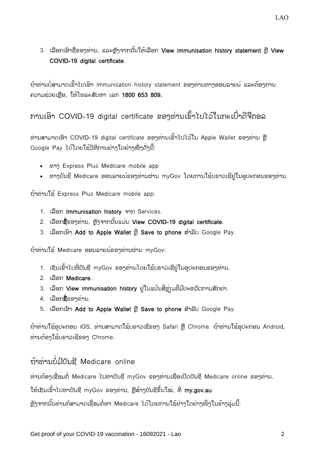3. ເລືອກເອົາຊື່ຂອງທ່ານ, ແລະຫຼັງຈາກນັ້ນໃຫ້ເລືອກ View immunisation history statement ຫຼື View COVID-19 digital certificate.

ຖ້າທ່ານບໍ່ສາມາດເຂົ້າໄປເອົາ immunisation history statement ຂອງທ່ານທາງອອນລາຍນ໌ ແລະຕ້ອງການ ຄວາມຊ່ວຍເຫຼືອ, ໃຫ້ໂທລະສັບຫາ ເລກ 1800 653 809.

ການເອົາ COVID-19 digital certificate ຂອງທ່ານເຂົ້າໄປໄວ້ໃນກະເປົ໋າດີຈີຕອລ

ທ່ານສາມາດເອົາ COVID-19 digital certificate ຂອງທ່ານເຂົ້າໄປໄວ້ໃນ Apple Wallet ຂອງທ່ານ ຫຼື Google Pay ໄດ້ໂດຍໃຊ້ວິທີການຢ່າງໃດຢ່າງໜຶ່ງດັ່ງນີ້:

- ທາງ Express Plus Medicare mobile app
- ທາງບັນຊີ Medicare ອອນລາຍນ໌ຂອງທ່ານຜ່ານ myGov ໂດຍການໃຊ້ບຣາວເຊີຢູ່ໃນອຸປະກອນຂອງທ່ານ.

ຖາົ້ທາ່ ນໃຊົ້Express Plus Medicare mobile app:

- 1. ເລຼືອກ Immunisation history ຈາກ Services.
- 2. ເລືອກຊື່ຂອງທ່ານ, ຫັງຈາກນັ້ນແມ່ນ View COVID-19 digital certificate.
- 3. ເລືອກເອົາ Add to Apple Wallet ຫຼື Save to phone ສໍາລັບ Google Pay.

ຖ້າທ່ານໃຊ້ Medicare ອອນລາຍນ໌ຂອງທ່ານຜ່ານ myGov:

- 1. ເຊັນເຂົ້າໄປທີ່ບັນຊີ myGov ຂອງທ່ານໂດຍໃຊ້ບຣາວເຊີຢູ່ໃນອຸປະກອນຂອງທ່ານ.
- 2. ເລຼືອກ Medicare.
- 3. ເລືອກ View immunisation history ຢູ່ໃນແປ້ນສີ່ຫຼ່ງມທີ່ມີປະຫວັດການສັກຢາ.
- 4. ເລືອກ**ຊື່**ຂອງທ່ານ.
- 5. ເລືອກເອົາ Add to Apple Wallet ຫຼື Save to phone ສໍາລັບ Google Pay.

ຖ້າທ່ານໃຊ້ອຸປະກອນ iOS, ທ່ານສາມາດໃຊ້ບຣາວເຊີຂອງ Safari ຫຼື Chrome. ຖ້າທ່ານໃຊ້ອຸປະກອນ Android, ທ່ານຕ້ອງໃຊ້ບຣາວເຊີຂອງ Chrome.

### ຖາົ້ທາ່ ນບ່ ມບີນຼັຊີMedicare online

ທ່ານຕ້ອງເຊື່ອມຕໍ່ Medicare ໄປຫາບັນຊີ myGov ຂອງທ່ານເພື່ອເປີດບັນຊີ Medicare online ຂອງທ່ານ.

ໃຫ້ເຊັນເຂົາໄປຫາບັນຊີ myGov ຂອງທ່ານ, ຫຼືສ້າງບັນຊີຂຶ້ນໃໝ່, ທີ່ **my.gov.au** 

ູ ຫຼັງຈາກນັ້ນທ່ານກໍສາມາດເຊື່ອມຕໍ່ຫາ Medicare ໄດ້ໂດຍການໃຊ້ຢ່າງໃດຢ່າງໜຶ່ງໃນຂ້າງລຸ່ມນີ້: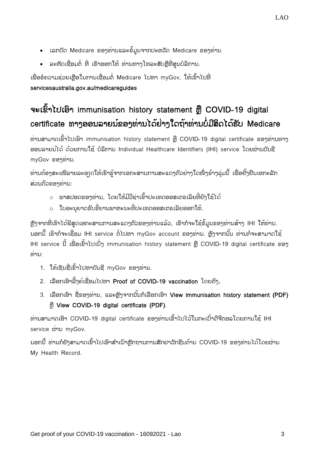- ເລກບັດ Medicare ຂອງທ່ານແລະຂໍ້ມູນຈາກປະຫວັດ Medicare ຂອງທ່ານ
- ລະຫັດເຊື່ອມຕໍ່ ທີ່ ເຮົາອອກໃຫ້ ທ່ານທາງໂທລະສັບຫຼືທີ່ສູນບໍລິການ.

ເພື່ອຂໍຄວາມຊ່ວຍເຫຼືອໃນການເຊື່ອມຕໍ່ Medicare ໄປຫາ myGov, ໃຫ້ເຂົ້າໄປທີ່ servicesaustralia.gov.au/medicareguides

## ຈະເຂົ້າໄປເອົາ immunisation history statement ຫຼື COVID-19 digital certificate ທາງອອນລາຍນ໌ຂອງທ່ານໄດ້ຢ່າງໃດຖ້າທ່ານບໍມີສິດໄດ້ຮັບ Medicare

ທ່ານສາມາດເຂົ້າໄປເອົາ immunisation history statement ຫຼື COVID-19 digital certificate ຂອງທ່ານທາງ ອອນລາຍນ໌ໄດ້ ດ້ວຍການໃຊ້ ບໍລິການ Individual Healthcare Identifiers (IHI) service ໂດຍຜ່ານບັນຊີ myGov ຂອງທ່ານ.

ທ່ານຕ້ອງສະເໜີລາຍລະອງດໃຫ້ເຮົາຮ້າາກເອກະສານການສະແດງຕົວຢ່າງໃດໜຶ່ງຂ້າງລຸ່ມນີ້ ເພື່ອຢັ້ງຢືນເອກະລັກ ສ່ວນຕົວຂອງທ່ານ:

- o ພາສປອດຂອງທ່ານ, ໂດຍໃຫ້ມີວີຊ່າເຂົ້າປະເທດອອສເຕຣເລັຍທີ່ຍັງໃຊ້ໄດ້
- o ໃບອະນຍາດຂັບຂີ່ຍານພາຫະນະທີ່ປະເທດອອສເຕຣເລັຍອອກໃຫ້.

ູ ຫຼັງຈາກທີ່ເຮົາໄດ້ພິສູດເອກະສານການສະແດງຕົວຂອງທ່ານແລ້ວ, ເຮົາກໍຈະໃຊ້ຂໍ້ມູນຂອງທ່ານສ້າງ lHl ໃຫ້ທ່ານ. ນອກນີ້ ເຮົາກໍຈະເຊື່ອມ IHI service ຕໍ່ໄປຫາ myGov account ຂອງທ່ານ. ຫຼັງຈາກນັ້ນ ທ່ານກໍຈະສາມາດໃຊ້ IHI service ນີ້ ເພື່ອເຂົ້າໄປເບິ່ງ immunisation history statement ຫຼື COVID-19 digital certificate ຂອງ  $\overline{\mathcal{U}}$ ານ:

- 1. ໃຫ້ເຊັນຊື່ເຂົ້າໄປຫາບັນຊີ myGov ຂອງທ່ານ.
- 2. ເລືອກເອົາລີ້ງຄ໌ເຊື່ອມໄປຫາ Proof of COVID-19 vaccination ໂດຍຕົງ.
- 3. ເລືອກເອົາ ຊື່ຂອງທ່ານ, ແລະຫຼັງຈາກນັ້ນກໍເລືອກເອົາ View immunisation history statement (PDF) ຫ ຼືView COVID-19 digital certificate (PDF).

ທ່ານສາມາດເອົາ COVID-19 digital certificate ຂອງທ່ານເຂົ້າໄປໄວ້ໃນກະເປົ໋າດີຈີຕອລໂດຍການໃຊ້ IHI service ຜ່ານ mvGov.

ນອກນີ້ ທ່ານກໍຍັງສາມາດເຂົ້າໄປເອົາສຳເນົາຫຼັກຖານການສັກຢາວັກຊີນຕ້ານ COVID-19 ຂອງທ່ານໄດ້ໂດຍຜ່ານ My Health Record.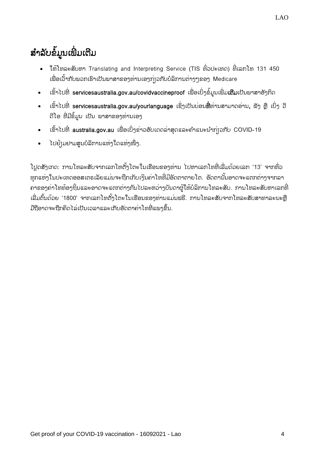- ໃຫ້ໂທລະສັບຫາ Translating and Interpreting Service (TIS ທົ່ວປະເທດ) ທີ່ເລກໂທ 131 450 ເພື່ອເວົ້າກັບພວກເຮົາເປັນພາສາຂອງທ່ານເອງກ່ $\mathfrak i$ ວກັບບໍລິການຕ່າງໆຂອງ Medicare
- ເຂົ້າໄປທີ່ servicesaustralia.gov.au/covidvaccineproof ເພື່ອເບິ່ງຂໍ້ມູນເພີ່ມ**ເຕີມ**ເປັນພາສາອັງກິດ
- $\bullet$  ເຂົ້າໄປທີ່ [servicesaustralia.gov.au/yourlanguage](http://humanservices.gov.au/yourlanguage) ເຊິ່ງເປັນບ່ອນ**ທີ່**ທ່ານສາມາດອ່ານ, ຟັງ ຫຼື ເບິ່ງ ວີ ດີໂອ ທີ່ມີຂໍ້ມູນ ເປັນ ພາສາຂອງທ່ານເອງ
- $\bullet$  ເຂົ້າໄປທີ່ australia.gov.au ເພື່ອເບິ່ງຂ່າວອັບເດດລ່າສຸດແລະຄຳແນະນຳກ່ $\rm p$ ກັບ COVID-19
- ໄປຢ້າມຢາມສນບໍລິການແຫ່ງໃດແຫ່ງໜຶ່ງ.

ີ ເປດສັງເກດ: ການໂທລະສັບຈາກເລກໂທຕັ້ງໂຕະໃນເຮືອນຂອງທ່ານ ໄປຫາເລກໂທທີ່ເລີ່ມດ້ວຍເລກ '13' ຈາກທົ່ວ ທຸກແຫ່ງໃນປະເທດອອສເຕຣເລັຍແມ່ນຈະຖືກເກັບເງິນຄ່າໂທທີ່ມີອັດຕາຕາຍໂຕ. ອັດຕານັ້ນອາດຈະແຕກຕ່າງຈາກລາ ຄາຂອງຄ່າໂທທ້ອງຖິ່ນແລະອາດຈະແຕກຕ່າງກັນໄປລະຫວ່າງບັນດາຜູ້ໃຫ້ບໍລິການໂທລະສັບ. ການໂທລະສັບຫາເລກທີ່ ເລີ່ມຕົ້ນດ້ວຍ '1800' ຈາກເລກໂທຕັ້ງໂຕະໃນເຮືອນຂອງທ່ານແມ່ນຟຣີ. ການໂທລະສັບຈາກໂທລະສັບສາທາລະນະຫຼື ມືຖືອາດຈະຖືກຄິດໄລ່ເປັນເວລາແລະເກັບອັດຕາຄ່າ ໂທທີ່ແພງຂຶ້ນ.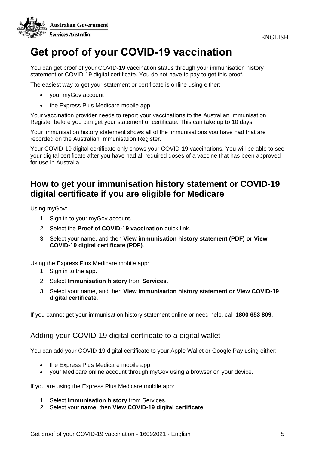



## **Get proof of your COVID-19 vaccination**

You can get proof of your COVID-19 vaccination status through your immunisation history statement or COVID-19 digital certificate. You do not have to pay to get this proof.

The easiest way to get your statement or certificate is online using either:

- your myGov account
- the Express Plus Medicare mobile app.

Your vaccination provider needs to report your vaccinations to the Australian Immunisation Register before you can get your statement or certificate. This can take up to 10 days.

Your immunisation history statement shows all of the immunisations you have had that are recorded on the Australian Immunisation Register.

Your COVID-19 digital certificate only shows your COVID-19 vaccinations. You will be able to see your digital certificate after you have had all required doses of a vaccine that has been approved for use in Australia.

### **How to get your immunisation history statement or COVID-19 digital certificate if you are eligible for Medicare**

Using myGov:

- 1. Sign in to your myGov account.
- 2. Select the **Proof of COVID-19 vaccination** quick link.
- 3. Select your name, and then **View immunisation history statement (PDF) or View COVID-19 digital certificate (PDF)**.

Using the Express Plus Medicare mobile app:

- 1. Sign in to the app.
- 2. Select **Immunisation history** from **Services**.
- 3. Select your name, and then **View immunisation history statement or View COVID-19 digital certificate**.

If you cannot get your immunisation history statement online or need help, call **1800 653 809**.

#### Adding your COVID-19 digital certificate to a digital wallet

You can add your COVID-19 digital certificate to your Apple Wallet or Google Pay using either:

- the Express Plus Medicare mobile app
- your Medicare online account through myGov using a browser on your device.

If you are using the Express Plus Medicare mobile app:

- 1. Select **Immunisation history** from Services.
- 2. Select your **name**, then **View COVID-19 digital certificate**.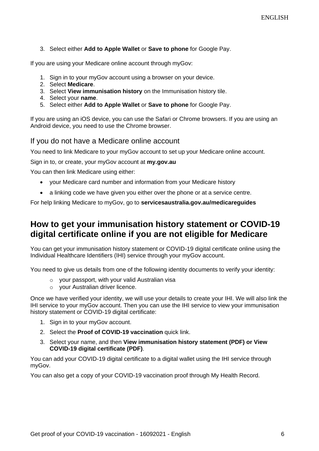#### 3. Select either **Add to Apple Wallet** or **Save to phone** for Google Pay.

If you are using your Medicare online account through myGov:

- 1. Sign in to your myGov account using a browser on your device.
- 2. Select **Medicare**.
- 3. Select **View immunisation history** on the Immunisation history tile.
- 4. Select your **name**.
- 5. Select either **Add to Apple Wallet** or **Save to phone** for Google Pay.

If you are using an iOS device, you can use the Safari or Chrome browsers. If you are using an Android device, you need to use the Chrome browser.

If you do not have a Medicare online account

You need to link Medicare to your myGov account to set up your Medicare online account.

Sign in to, or create, your myGov account at **my.gov.au**

You can then link Medicare using either:

- your Medicare card number and information from your Medicare history
- a linking code we have given you either over the phone or at a service centre.

For help linking Medicare to myGov, go to **servicesaustralia.gov.au/medicareguides**

#### **How to get your immunisation history statement or COVID-19 digital certificate online if you are not eligible for Medicare**

You can get your immunisation history statement or COVID-19 digital certificate online using the Individual Healthcare Identifiers (IHI) service through your myGov account.

You need to give us details from one of the following identity documents to verify your identity:

- o your passport, with your valid Australian visa
- o your Australian driver licence.

Once we have verified your identity, we will use your details to create your IHI. We will also link the IHI service to your myGov account. Then you can use the IHI service to view your immunisation history statement or COVID-19 digital certificate:

- 1. Sign in to your myGov account.
- 2. Select the **Proof of COVID-19 vaccination** quick link.
- 3. Select your name, and then **View immunisation history statement (PDF) or View COVID-19 digital certificate (PDF)**.

You can add your COVID-19 digital certificate to a digital wallet using the IHI service through myGov.

You can also get a copy of your COVID-19 vaccination proof through My Health Record.